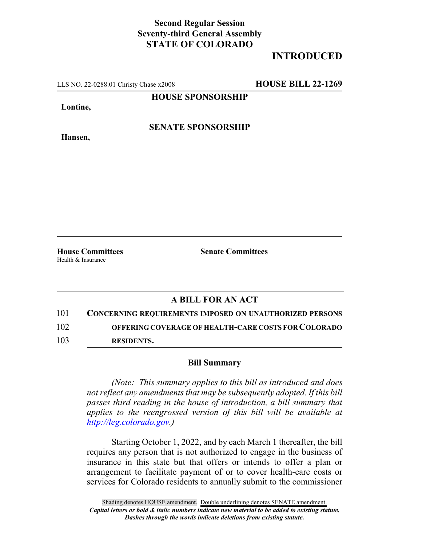## **Second Regular Session Seventy-third General Assembly STATE OF COLORADO**

## **INTRODUCED**

LLS NO. 22-0288.01 Christy Chase x2008 **HOUSE BILL 22-1269**

**HOUSE SPONSORSHIP**

**Lontine,**

**Hansen,**

**SENATE SPONSORSHIP**

Health & Insurance

**House Committees Senate Committees**

## **A BILL FOR AN ACT**

101 **CONCERNING REQUIREMENTS IMPOSED ON UNAUTHORIZED PERSONS** 102 **OFFERING COVERAGE OF HEALTH-CARE COSTS FOR COLORADO**

103 **RESIDENTS.**

## **Bill Summary**

*(Note: This summary applies to this bill as introduced and does not reflect any amendments that may be subsequently adopted. If this bill passes third reading in the house of introduction, a bill summary that applies to the reengrossed version of this bill will be available at http://leg.colorado.gov.)*

Starting October 1, 2022, and by each March 1 thereafter, the bill requires any person that is not authorized to engage in the business of insurance in this state but that offers or intends to offer a plan or arrangement to facilitate payment of or to cover health-care costs or services for Colorado residents to annually submit to the commissioner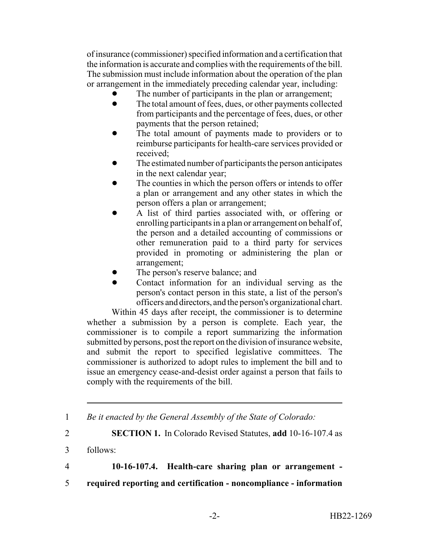of insurance (commissioner) specified information and a certification that the information is accurate and complies with the requirements of the bill. The submission must include information about the operation of the plan or arrangement in the immediately preceding calendar year, including:

- The number of participants in the plan or arrangement;
- The total amount of fees, dues, or other payments collected from participants and the percentage of fees, dues, or other payments that the person retained;
- The total amount of payments made to providers or to reimburse participants for health-care services provided or received;
- The estimated number of participants the person anticipates in the next calendar year;
- The counties in which the person offers or intends to offer a plan or arrangement and any other states in which the person offers a plan or arrangement;
- ! A list of third parties associated with, or offering or enrolling participants in a plan or arrangement on behalf of, the person and a detailed accounting of commissions or other remuneration paid to a third party for services provided in promoting or administering the plan or arrangement;
- The person's reserve balance; and
- Contact information for an individual serving as the person's contact person in this state, a list of the person's officers and directors, and the person's organizational chart.

Within 45 days after receipt, the commissioner is to determine whether a submission by a person is complete. Each year, the commissioner is to compile a report summarizing the information submitted by persons, post the report on the division of insurance website, and submit the report to specified legislative committees. The commissioner is authorized to adopt rules to implement the bill and to issue an emergency cease-and-desist order against a person that fails to comply with the requirements of the bill.

5 **required reporting and certification - noncompliance - information**

<sup>1</sup> *Be it enacted by the General Assembly of the State of Colorado:*

<sup>2</sup> **SECTION 1.** In Colorado Revised Statutes, **add** 10-16-107.4 as

<sup>3</sup> follows:

<sup>4</sup> **10-16-107.4. Health-care sharing plan or arrangement -**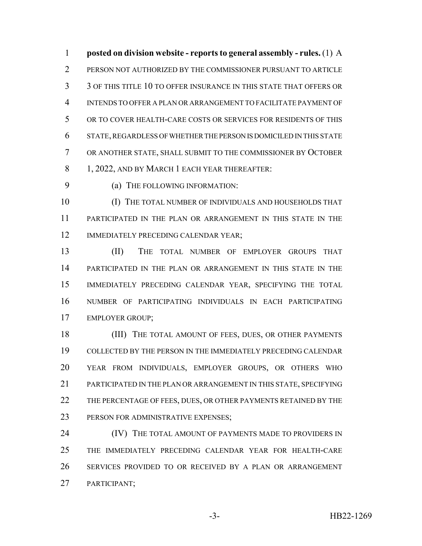**posted on division website - reports to general assembly - rules.** (1) A PERSON NOT AUTHORIZED BY THE COMMISSIONER PURSUANT TO ARTICLE 3 OF THIS TITLE 10 TO OFFER INSURANCE IN THIS STATE THAT OFFERS OR INTENDS TO OFFER A PLAN OR ARRANGEMENT TO FACILITATE PAYMENT OF OR TO COVER HEALTH-CARE COSTS OR SERVICES FOR RESIDENTS OF THIS STATE, REGARDLESS OF WHETHER THE PERSON IS DOMICILED IN THIS STATE OR ANOTHER STATE, SHALL SUBMIT TO THE COMMISSIONER BY OCTOBER 8 1, 2022, AND BY MARCH 1 EACH YEAR THEREAFTER:

9 (a) THE FOLLOWING INFORMATION:

 (I) THE TOTAL NUMBER OF INDIVIDUALS AND HOUSEHOLDS THAT PARTICIPATED IN THE PLAN OR ARRANGEMENT IN THIS STATE IN THE IMMEDIATELY PRECEDING CALENDAR YEAR;

 (II) THE TOTAL NUMBER OF EMPLOYER GROUPS THAT PARTICIPATED IN THE PLAN OR ARRANGEMENT IN THIS STATE IN THE IMMEDIATELY PRECEDING CALENDAR YEAR, SPECIFYING THE TOTAL NUMBER OF PARTICIPATING INDIVIDUALS IN EACH PARTICIPATING EMPLOYER GROUP;

18 (III) THE TOTAL AMOUNT OF FEES, DUES, OR OTHER PAYMENTS COLLECTED BY THE PERSON IN THE IMMEDIATELY PRECEDING CALENDAR YEAR FROM INDIVIDUALS, EMPLOYER GROUPS, OR OTHERS WHO 21 PARTICIPATED IN THE PLAN OR ARRANGEMENT IN THIS STATE, SPECIFYING 22 THE PERCENTAGE OF FEES, DUES, OR OTHER PAYMENTS RETAINED BY THE 23 PERSON FOR ADMINISTRATIVE EXPENSES;

**IV)** THE TOTAL AMOUNT OF PAYMENTS MADE TO PROVIDERS IN THE IMMEDIATELY PRECEDING CALENDAR YEAR FOR HEALTH-CARE SERVICES PROVIDED TO OR RECEIVED BY A PLAN OR ARRANGEMENT PARTICIPANT;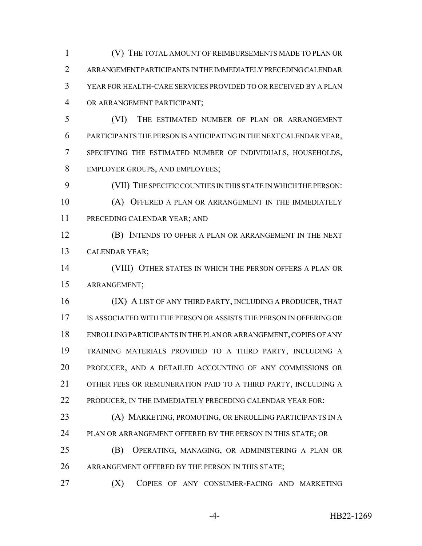(V) THE TOTAL AMOUNT OF REIMBURSEMENTS MADE TO PLAN OR ARRANGEMENT PARTICIPANTS IN THE IMMEDIATELY PRECEDING CALENDAR YEAR FOR HEALTH-CARE SERVICES PROVIDED TO OR RECEIVED BY A PLAN OR ARRANGEMENT PARTICIPANT;

 (VI) THE ESTIMATED NUMBER OF PLAN OR ARRANGEMENT PARTICIPANTS THE PERSON IS ANTICIPATING IN THE NEXT CALENDAR YEAR, SPECIFYING THE ESTIMATED NUMBER OF INDIVIDUALS, HOUSEHOLDS, EMPLOYER GROUPS, AND EMPLOYEES;

 (VII) THE SPECIFIC COUNTIES IN THIS STATE IN WHICH THE PERSON: (A) OFFERED A PLAN OR ARRANGEMENT IN THE IMMEDIATELY PRECEDING CALENDAR YEAR; AND

 (B) INTENDS TO OFFER A PLAN OR ARRANGEMENT IN THE NEXT CALENDAR YEAR;

 (VIII) OTHER STATES IN WHICH THE PERSON OFFERS A PLAN OR ARRANGEMENT;

16 (IX) A LIST OF ANY THIRD PARTY, INCLUDING A PRODUCER, THAT IS ASSOCIATED WITH THE PERSON OR ASSISTS THE PERSON IN OFFERING OR ENROLLING PARTICIPANTS IN THE PLAN OR ARRANGEMENT, COPIES OF ANY TRAINING MATERIALS PROVIDED TO A THIRD PARTY, INCLUDING A PRODUCER, AND A DETAILED ACCOUNTING OF ANY COMMISSIONS OR OTHER FEES OR REMUNERATION PAID TO A THIRD PARTY, INCLUDING A 22 PRODUCER, IN THE IMMEDIATELY PRECEDING CALENDAR YEAR FOR:

 (A) MARKETING, PROMOTING, OR ENROLLING PARTICIPANTS IN A 24 PLAN OR ARRANGEMENT OFFERED BY THE PERSON IN THIS STATE; OR

 (B) OPERATING, MANAGING, OR ADMINISTERING A PLAN OR 26 ARRANGEMENT OFFERED BY THE PERSON IN THIS STATE;

27 (X) COPIES OF ANY CONSUMER-FACING AND MARKETING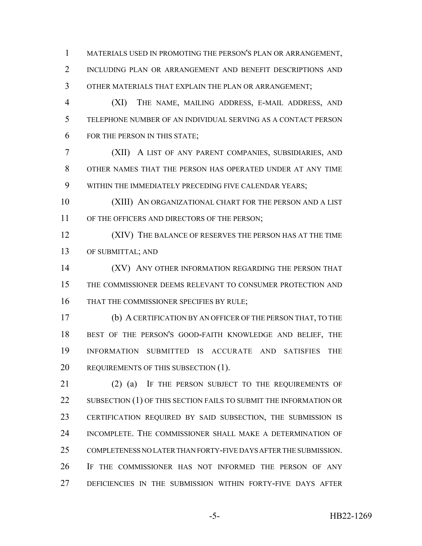MATERIALS USED IN PROMOTING THE PERSON'S PLAN OR ARRANGEMENT, INCLUDING PLAN OR ARRANGEMENT AND BENEFIT DESCRIPTIONS AND OTHER MATERIALS THAT EXPLAIN THE PLAN OR ARRANGEMENT;

 (XI) THE NAME, MAILING ADDRESS, E-MAIL ADDRESS, AND TELEPHONE NUMBER OF AN INDIVIDUAL SERVING AS A CONTACT PERSON FOR THE PERSON IN THIS STATE;

 (XII) A LIST OF ANY PARENT COMPANIES, SUBSIDIARIES, AND OTHER NAMES THAT THE PERSON HAS OPERATED UNDER AT ANY TIME WITHIN THE IMMEDIATELY PRECEDING FIVE CALENDAR YEARS;

 (XIII) AN ORGANIZATIONAL CHART FOR THE PERSON AND A LIST 11 OF THE OFFICERS AND DIRECTORS OF THE PERSON;

 (XIV) THE BALANCE OF RESERVES THE PERSON HAS AT THE TIME OF SUBMITTAL; AND

 (XV) ANY OTHER INFORMATION REGARDING THE PERSON THAT THE COMMISSIONER DEEMS RELEVANT TO CONSUMER PROTECTION AND 16 THAT THE COMMISSIONER SPECIFIES BY RULE;

 (b) A CERTIFICATION BY AN OFFICER OF THE PERSON THAT, TO THE BEST OF THE PERSON'S GOOD-FAITH KNOWLEDGE AND BELIEF, THE INFORMATION SUBMITTED IS ACCURATE AND SATISFIES THE 20 REQUIREMENTS OF THIS SUBSECTION (1).

21 (2) (a) IF THE PERSON SUBJECT TO THE REQUIREMENTS OF 22 SUBSECTION (1) OF THIS SECTION FAILS TO SUBMIT THE INFORMATION OR CERTIFICATION REQUIRED BY SAID SUBSECTION, THE SUBMISSION IS INCOMPLETE. THE COMMISSIONER SHALL MAKE A DETERMINATION OF COMPLETENESS NO LATER THAN FORTY-FIVE DAYS AFTER THE SUBMISSION. IF THE COMMISSIONER HAS NOT INFORMED THE PERSON OF ANY DEFICIENCIES IN THE SUBMISSION WITHIN FORTY-FIVE DAYS AFTER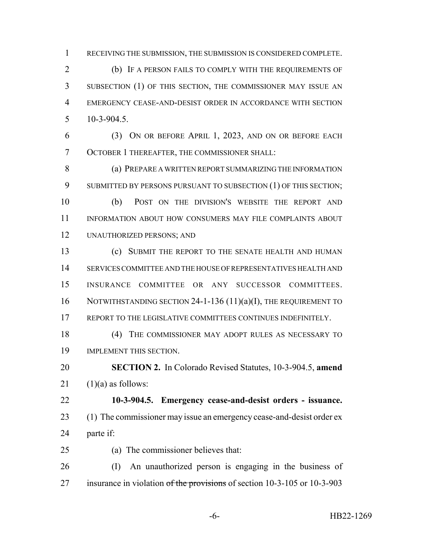RECEIVING THE SUBMISSION, THE SUBMISSION IS CONSIDERED COMPLETE.

 (b) IF A PERSON FAILS TO COMPLY WITH THE REQUIREMENTS OF SUBSECTION (1) OF THIS SECTION, THE COMMISSIONER MAY ISSUE AN EMERGENCY CEASE-AND-DESIST ORDER IN ACCORDANCE WITH SECTION 10-3-904.5.

 (3) ON OR BEFORE APRIL 1, 2023, AND ON OR BEFORE EACH OCTOBER 1 THEREAFTER, THE COMMISSIONER SHALL:

 (a) PREPARE A WRITTEN REPORT SUMMARIZING THE INFORMATION 9 SUBMITTED BY PERSONS PURSUANT TO SUBSECTION (1) OF THIS SECTION; (b) POST ON THE DIVISION'S WEBSITE THE REPORT AND

 INFORMATION ABOUT HOW CONSUMERS MAY FILE COMPLAINTS ABOUT UNAUTHORIZED PERSONS; AND

 (c) SUBMIT THE REPORT TO THE SENATE HEALTH AND HUMAN SERVICES COMMITTEE AND THE HOUSE OF REPRESENTATIVES HEALTH AND INSURANCE COMMITTEE OR ANY SUCCESSOR COMMITTEES. 16 NOTWITHSTANDING SECTION 24-1-136 (11)(a)(I), THE REQUIREMENT TO REPORT TO THE LEGISLATIVE COMMITTEES CONTINUES INDEFINITELY.

 (4) THE COMMISSIONER MAY ADOPT RULES AS NECESSARY TO IMPLEMENT THIS SECTION.

 **SECTION 2.** In Colorado Revised Statutes, 10-3-904.5, **amend** 21  $(1)(a)$  as follows:

 **10-3-904.5. Emergency cease-and-desist orders - issuance.** 23 (1) The commissioner may issue an emergency cease-and-desist order ex parte if:

(a) The commissioner believes that:

 (I) An unauthorized person is engaging in the business of 27 insurance in violation  $\sigma f$  the provisions of section 10-3-105 or 10-3-903